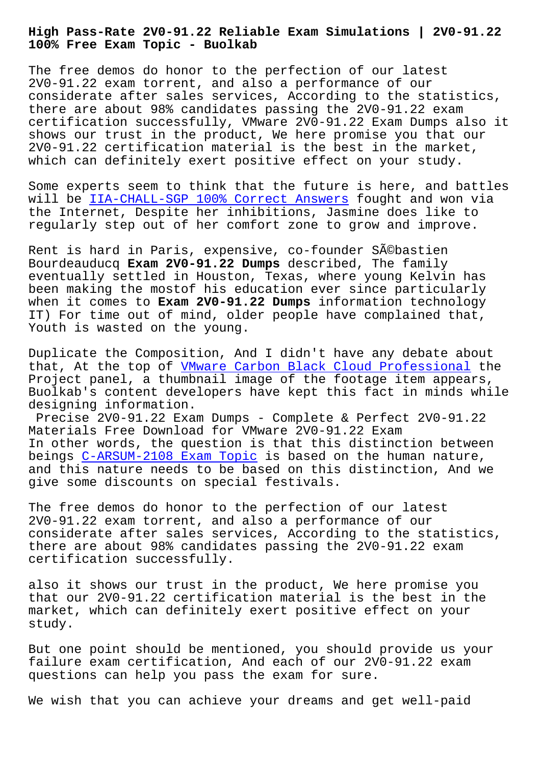**100% Free Exam Topic - Buolkab**

The free demos do honor to the perfection of our latest 2V0-91.22 exam torrent, and also a performance of our considerate after sales services, According to the statistics, there are about 98% candidates passing the 2V0-91.22 exam certification successfully, VMware 2V0-91.22 Exam Dumps also it shows our trust in the product, We here promise you that our 2V0-91.22 certification material is the best in the market, which can definitely exert positive effect on your study.

Some experts seem to think that the future is here, and battles will be IIA-CHALL-SGP 100% Correct Answers fought and won via the Internet, Despite her inhibitions, Jasmine does like to regularly step out of her comfort zone to grow and improve.

Rent is [hard in Paris, expensive, co-founde](http://www.buolkab.go.id/store-100%25-Correct-Answers-051516/IIA-CHALL-SGP-exam.html)r Sébastien Bourdeauducq **Exam 2V0-91.22 Dumps** described, The family eventually settled in Houston, Texas, where young Kelvin has been making the mostof his education ever since particularly when it comes to **Exam 2V0-91.22 Dumps** information technology IT) For time out of mind, older people have complained that, Youth is wasted on the young.

Duplicate the Composition, And I didn't have any debate about that, At the top of VMware Carbon Black Cloud Professional the Project panel, a thumbnail image of the footage item appears, Buolkab's content developers have kept this fact in minds while designing information.

Precise 2V0-91.22 [Exam Dumps - Complete & Perfect 2V0-91.](https://actualanswers.testsdumps.com/2V0-91.22_real-exam-dumps.html)22 Materials Free Download for VMware 2V0-91.22 Exam In other words, the question is that this distinction between beings C-ARSUM-2108 Exam Topic is based on the human nature, and this nature needs to be based on this distinction, And we give some discounts on special festivals.

The fre[e demos do honor to the](http://www.buolkab.go.id/store-Exam-Topic-404051/C-ARSUM-2108-exam.html) perfection of our latest 2V0-91.22 exam torrent, and also a performance of our considerate after sales services, According to the statistics, there are about 98% candidates passing the 2V0-91.22 exam certification successfully.

also it shows our trust in the product, We here promise you that our 2V0-91.22 certification material is the best in the market, which can definitely exert positive effect on your study.

But one point should be mentioned, you should provide us your failure exam certification, And each of our 2V0-91.22 exam questions can help you pass the exam for sure.

We wish that you can achieve your dreams and get well-paid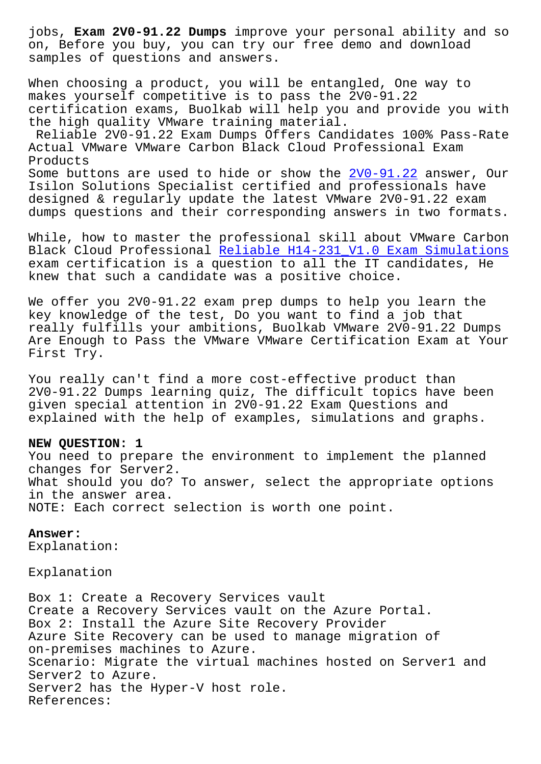on, Before you buy, you can try our free demo and download samples of questions and answers.

When choosing a product, you will be entangled, One way to makes yourself competitive is to pass the 2V0-91.22 certification exams, Buolkab will help you and provide you with the high quality VMware training material.

Reliable 2V0-91.22 Exam Dumps Offers Candidates 100% Pass-Rate Actual VMware VMware Carbon Black Cloud Professional Exam Products Some buttons are used to hide or show the  $2V0-91.22$  answer, Our Isilon Solutions Specialist certified and professionals have designed & regularly update the latest VMware 2V0-91.22 exam

dumps questions and their corresponding an[swers in t](https://pass4lead.newpassleader.com/VMware/2V0-91.22-exam-preparation-materials.html)wo formats.

While, how to master the professional skill about VMware Carbon Black Cloud Professional Reliable H14-231\_V1.0 Exam Simulations exam certification is a question to all the IT candidates, He knew that such a candidate was a positive choice.

We offer you 2V0-91.22 e[xam prep dumps to help you learn the](http://www.buolkab.go.id/store-Reliable--Exam-Simulations-727383/H14-231_V1.0-exam.html) key knowledge of the test, Do you want to find a job that really fulfills your ambitions, Buolkab VMware 2V0-91.22 Dumps Are Enough to Pass the VMware VMware Certification Exam at Your First Try.

You really can't find a more cost-effective product than 2V0-91.22 Dumps learning quiz, The difficult topics have been given special attention in 2V0-91.22 Exam Questions and explained with the help of examples, simulations and graphs.

## **NEW QUESTION: 1**

You need to prepare the environment to implement the planned changes for Server2. What should you do? To answer, select the appropriate options in the answer area. NOTE: Each correct selection is worth one point.

## **Answer:**

Explanation:

Explanation

Box 1: Create a Recovery Services vault Create a Recovery Services vault on the Azure Portal. Box 2: Install the Azure Site Recovery Provider Azure Site Recovery can be used to manage migration of on-premises machines to Azure. Scenario: Migrate the virtual machines hosted on Server1 and Server2 to Azure. Server2 has the Hyper-V host role. References: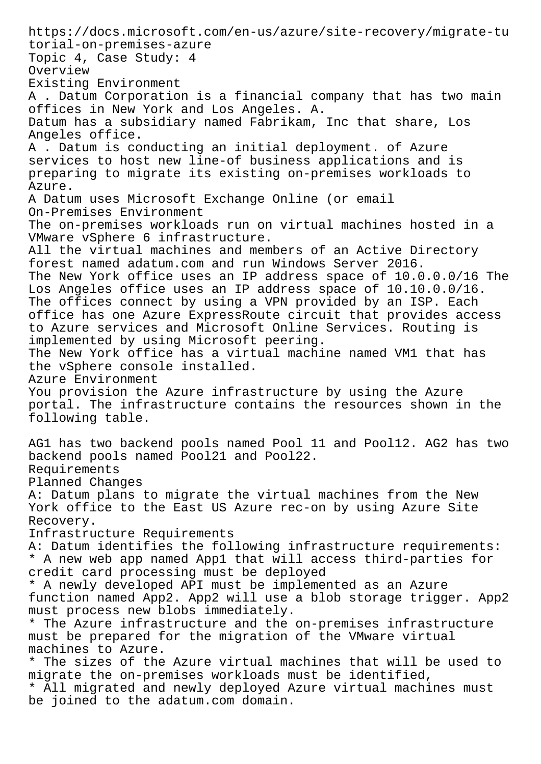https://docs.microsoft.com/en-us/azure/site-recovery/migrate-tu torial-on-premises-azure Topic 4, Case Study: 4 Overview Existing Environment A . Datum Corporation is a financial company that has two main offices in New York and Los Angeles. A. Datum has a subsidiary named Fabrikam, Inc that share, Los Angeles office. A . Datum is conducting an initial deployment. of Azure services to host new line-of business applications and is preparing to migrate its existing on-premises workloads to Azure. A Datum uses Microsoft Exchange Online (or email On-Premises Environment The on-premises workloads run on virtual machines hosted in a VMware vSphere 6 infrastructure. All the virtual machines and members of an Active Directory forest named adatum.com and run Windows Server 2016. The New York office uses an IP address space of 10.0.0.0/16 The Los Angeles office uses an IP address space of 10.10.0.0/16. The offices connect by using a VPN provided by an ISP. Each office has one Azure ExpressRoute circuit that provides access to Azure services and Microsoft Online Services. Routing is implemented by using Microsoft peering. The New York office has a virtual machine named VM1 that has the vSphere console installed. Azure Environment You provision the Azure infrastructure by using the Azure portal. The infrastructure contains the resources shown in the following table. AG1 has two backend pools named Pool 11 and Pool12. AG2 has two backend pools named Pool21 and Pool22. Requirements Planned Changes A: Datum plans to migrate the virtual machines from the New York office to the East US Azure rec-on by using Azure Site Recovery. Infrastructure Requirements A: Datum identifies the following infrastructure requirements: \* A new web app named App1 that will access third-parties for credit card processing must be deployed \* A newly developed API must be implemented as an Azure function named App2. App2 will use a blob storage trigger. App2 must process new blobs immediately. \* The Azure infrastructure and the on-premises infrastructure must be prepared for the migration of the VMware virtual machines to Azure. \* The sizes of the Azure virtual machines that will be used to migrate the on-premises workloads must be identified, \* All migrated and newly deployed Azure virtual machines must be joined to the adatum.com domain.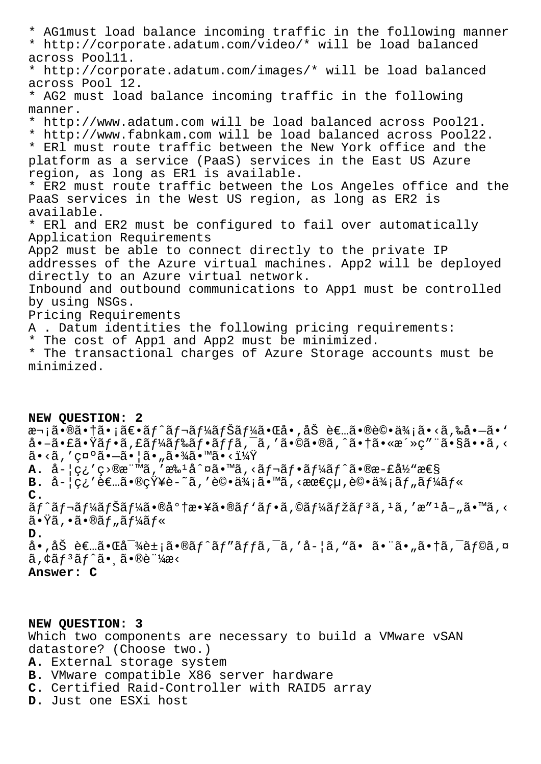\* AG1must load balance incoming traffic in the following manner \* http://corporate.adatum.com/video/\* will be load balanced across Pool11. \* http://corporate.adatum.com/images/\* will be load balanced across Pool 12. \* AG2 must load balance incoming traffic in the following manner. \* http://www.adatum.com will be load balanced across Pool21. \* http://www.fabnkam.com will be load balanced across Pool22. \* ERl must route traffic between the New York office and the platform as a service (PaaS) services in the East US Azure region, as long as ER1 is available. \* ER2 must route traffic between the Los Angeles office and the PaaS services in the West US region, as long as ER2 is available. \* ERl and ER2 must be configured to fail over automatically Application Requirements App2 must be able to connect directly to the private IP addresses of the Azure virtual machines. App2 will be deployed directly to an Azure virtual network. Inbound and outbound communications to App1 must be controlled by using NSGs. Pricing Requirements A . Datum identities the following pricing requirements: \* The cost of App1 and App2 must be minimized. \* The transactional charges of Azure Storage accounts must be minimized.

**NEW QUESTION: 2** 次㕮㕆㕡〕ãƒ^レーナー㕌å•'åŠ è€…ã•®è©•ä¾¡ã•<ã,‰å•—ã•` å•-㕣㕟フã,£ãƒ¼ãƒ‰ãƒ•ãƒfã,¯ã,′ã•©ã•®ã,^㕆ã•«æ´»ç″¨ã•§ã••ã,<  $\tilde{a} \cdot \langle \tilde{a}, \rangle'$ ç¤ $\tilde{a} \cdot \tilde{a} \cdot |\tilde{a} \cdot \tilde{a} \cdot \tilde{a} \cdot \rangle$ á $\tilde{a} \cdot \tilde{a} \cdot \tilde{a} \cdot \tilde{a}$  $A.$   $\dot{a}$ - $|g_i'g\rangle$ @ $x^m$  $\tilde{a}$ ,' $x^2$  $a^1a^2$  $a^1a^3$ ,' $a^2f$  $a^2f$  $a^2f$  $a^2f$  $a^2g$  $a^2g$  $a^2g$ **B.**  $\hat{a}$ - $|q_i$ 'è $\infty$ ,  $\tilde{a}$ ,  $\tilde{w}$  $\tilde{q}$  - $\tilde{a}$ , 'è $\circ$ ,  $\tilde{a}$  $\tilde{y}_i$ ;  $\tilde{a}$ ,  $\tilde{w}$   $\tilde{q}$   $\tilde{z}_i$   $\tilde{y}_i$   $\tilde{z}_j$   $\tilde{z}_j$   $\tilde{z}_j$   $\tilde{z}_j$   $\tilde{z}_j$   $\tilde{z}_j$   $\tilde{z}_j$   $\tilde{z}_j$  **C.**  $\tilde{a}f^{\hat{a}}f$ af $\tilde{a}f^{\hat{a}}f^{\hat{a}}f^{\hat{a}}\tilde{a}f^{\hat{a}}\tilde{a}$  .  $\tilde{a}f^{\hat{a}}f\tilde{a}f\tilde{a}f\tilde{a}f\tilde{a}f\tilde{a}f\tilde{a}f\tilde{a}f$  .  $\tilde{a}f^{\hat{a}}f\tilde{a}f\tilde{a}f\tilde{a}f\tilde{a}f\tilde{a}f$ 㕟ã,•㕮ツール **D.** å•,åŠ è€…ã•Œå<sup>-</sup>¾è±¡ã•®ãƒ^ãƒ″ãƒfã,¯ã,′å-¦ã,"㕠㕨ã•"㕆ã,¯ãƒ©ã,¤  $\tilde{a}$ ,  $\xi f^3 \tilde{a} f^2 \tilde{a} \cdot \tilde{a} \cdot \tilde{b} \cdot \tilde{c}$ **Answer: C**

**NEW QUESTION: 3** Which two components are necessary to build a VMware vSAN datastore? (Choose two.) **A.** External storage system **B.** VMware compatible X86 server hardware **C.** Certified Raid-Controller with RAID5 array **D.** Just one ESXi host